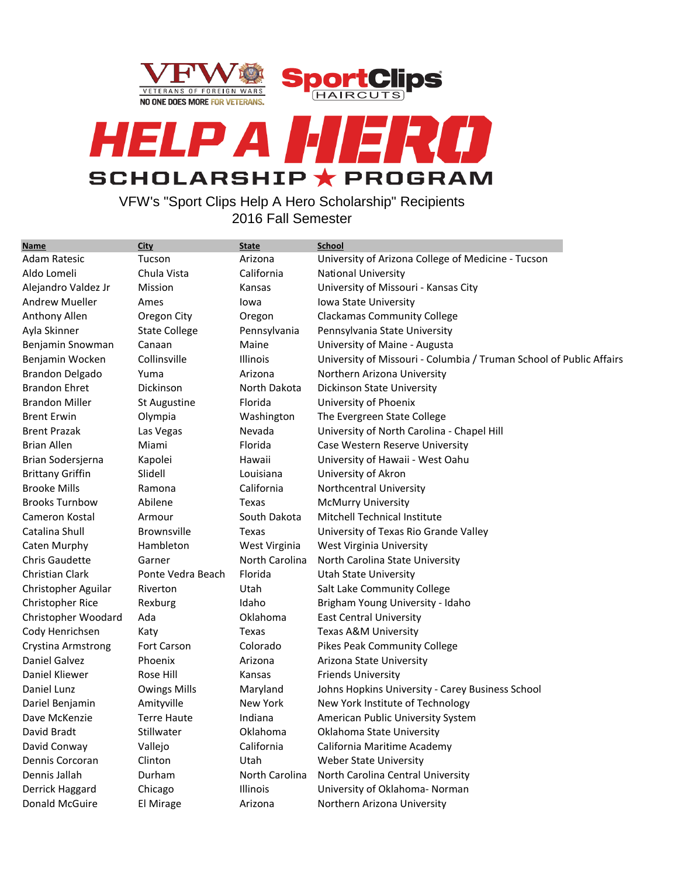





VFW's "Sport Clips Help A Hero Scholarship" Recipients 2016 Fall Semester

| <b>Name</b>             | City                 | <b>State</b>    | <b>School</b>                                                       |
|-------------------------|----------------------|-----------------|---------------------------------------------------------------------|
| <b>Adam Ratesic</b>     | Tucson               | Arizona         | University of Arizona College of Medicine - Tucson                  |
| Aldo Lomeli             | Chula Vista          | California      | <b>National University</b>                                          |
| Alejandro Valdez Jr     | Mission              | Kansas          | University of Missouri - Kansas City                                |
| <b>Andrew Mueller</b>   | Ames                 | lowa            | Iowa State University                                               |
| Anthony Allen           | Oregon City          | Oregon          | <b>Clackamas Community College</b>                                  |
| Ayla Skinner            | <b>State College</b> | Pennsylvania    | Pennsylvania State University                                       |
| Benjamin Snowman        | Canaan               | Maine           | University of Maine - Augusta                                       |
| Benjamin Wocken         | Collinsville         | <b>Illinois</b> | University of Missouri - Columbia / Truman School of Public Affairs |
| Brandon Delgado         | Yuma                 | Arizona         | Northern Arizona University                                         |
| <b>Brandon Ehret</b>    | Dickinson            | North Dakota    | Dickinson State University                                          |
| <b>Brandon Miller</b>   | <b>St Augustine</b>  | Florida         | University of Phoenix                                               |
| <b>Brent Erwin</b>      | Olympia              | Washington      | The Evergreen State College                                         |
| <b>Brent Prazak</b>     | Las Vegas            | Nevada          | University of North Carolina - Chapel Hill                          |
| <b>Brian Allen</b>      | Miami                | Florida         | Case Western Reserve University                                     |
| Brian Sodersjerna       | Kapolei              | Hawaii          | University of Hawaii - West Oahu                                    |
| <b>Brittany Griffin</b> | Slidell              | Louisiana       | University of Akron                                                 |
| <b>Brooke Mills</b>     | Ramona               | California      | Northcentral University                                             |
| <b>Brooks Turnbow</b>   | Abilene              | Texas           | <b>McMurry University</b>                                           |
| Cameron Kostal          | Armour               | South Dakota    | Mitchell Technical Institute                                        |
| Catalina Shull          | <b>Brownsville</b>   | Texas           | University of Texas Rio Grande Valley                               |
| Caten Murphy            | Hambleton            | West Virginia   | West Virginia University                                            |
| <b>Chris Gaudette</b>   | Garner               | North Carolina  | North Carolina State University                                     |
| Christian Clark         | Ponte Vedra Beach    | Florida         | <b>Utah State University</b>                                        |
| Christopher Aguilar     | Riverton             | Utah            | Salt Lake Community College                                         |
| Christopher Rice        | Rexburg              | Idaho           | Brigham Young University - Idaho                                    |
| Christopher Woodard     | Ada                  | Oklahoma        | <b>East Central University</b>                                      |
| Cody Henrichsen         | Katy                 | Texas           | Texas A&M University                                                |
| Crystina Armstrong      | Fort Carson          | Colorado        | Pikes Peak Community College                                        |
| Daniel Galvez           | Phoenix              | Arizona         | Arizona State University                                            |
| Daniel Kliewer          | Rose Hill            | Kansas          | <b>Friends University</b>                                           |
| Daniel Lunz             | <b>Owings Mills</b>  | Maryland        | Johns Hopkins University - Carey Business School                    |
| Dariel Benjamin         | Amityville           | New York        | New York Institute of Technology                                    |
| Dave McKenzie           | <b>Terre Haute</b>   | Indiana         | American Public University System                                   |
| David Bradt             | Stillwater           | Oklahoma        | Oklahoma State University                                           |
|                         |                      | California      | California Maritime Academy                                         |
| David Conway            | Vallejo              |                 |                                                                     |
| Dennis Corcoran         | Clinton              | Utah            | <b>Weber State University</b>                                       |
| Dennis Jallah           | Durham               | North Carolina  | North Carolina Central University                                   |
| Derrick Haggard         | Chicago              | Illinois        | University of Oklahoma- Norman                                      |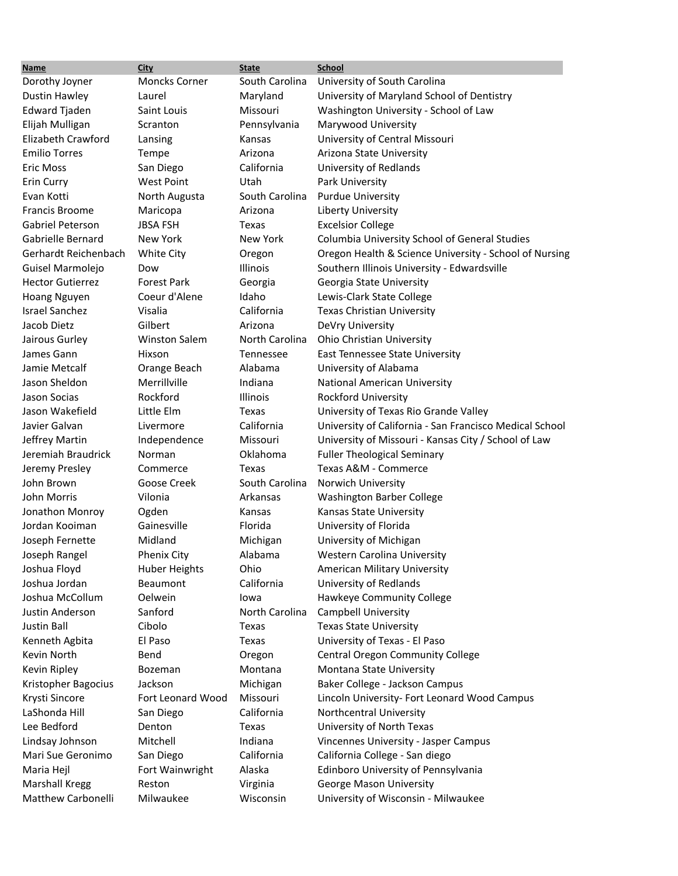| <b>Moncks Corner</b><br>South Carolina<br>Dorothy Joyner<br>University of South Carolina<br>University of Maryland School of Dentistry<br><b>Dustin Hawley</b><br>Laurel<br>Maryland |  |
|--------------------------------------------------------------------------------------------------------------------------------------------------------------------------------------|--|
|                                                                                                                                                                                      |  |
|                                                                                                                                                                                      |  |
| <b>Edward Tjaden</b><br>Washington University - School of Law<br>Saint Louis<br>Missouri                                                                                             |  |
| Elijah Mulligan<br>Pennsylvania<br>Marywood University<br>Scranton                                                                                                                   |  |
| Elizabeth Crawford<br>University of Central Missouri<br>Lansing<br>Kansas                                                                                                            |  |
| <b>Emilio Torres</b><br>Arizona<br>Arizona State University<br>Tempe                                                                                                                 |  |
| <b>Eric Moss</b><br>California<br>University of Redlands<br>San Diego                                                                                                                |  |
| Erin Curry<br>Utah<br><b>West Point</b><br>Park University                                                                                                                           |  |
| Evan Kotti<br>South Carolina<br><b>Purdue University</b><br>North Augusta                                                                                                            |  |
| <b>Francis Broome</b><br><b>Liberty University</b><br>Maricopa<br>Arizona                                                                                                            |  |
| Gabriel Peterson<br><b>JBSA FSH</b><br><b>Excelsior College</b><br>Texas                                                                                                             |  |
| Gabrielle Bernard<br>New York<br>New York<br>Columbia University School of General Studies                                                                                           |  |
| Gerhardt Reichenbach<br>Oregon Health & Science University - School of Nursing<br>White City<br>Oregon                                                                               |  |
| Illinois<br>Southern Illinois University - Edwardsville<br>Guisel Marmolejo<br>Dow                                                                                                   |  |
| <b>Forest Park</b><br><b>Hector Gutierrez</b><br>Georgia<br>Georgia State University                                                                                                 |  |
| Coeur d'Alene<br>Idaho<br>Hoang Nguyen<br>Lewis-Clark State College                                                                                                                  |  |
| California<br><b>Israel Sanchez</b><br>Visalia<br><b>Texas Christian University</b>                                                                                                  |  |
| Jacob Dietz<br>Gilbert<br>Arizona<br>DeVry University                                                                                                                                |  |
| North Carolina<br>Jairous Gurley<br><b>Winston Salem</b><br>Ohio Christian University                                                                                                |  |
| James Gann<br>Hixson<br>Tennessee<br>East Tennessee State University                                                                                                                 |  |
| Jamie Metcalf<br>Alabama<br>Orange Beach<br>University of Alabama                                                                                                                    |  |
| Jason Sheldon<br>Merrillville<br>Indiana<br><b>National American University</b>                                                                                                      |  |
| Jason Socias<br>Rockford<br><b>Illinois</b><br><b>Rockford University</b>                                                                                                            |  |
| Jason Wakefield<br>Little Elm<br>University of Texas Rio Grande Valley<br>Texas                                                                                                      |  |
| Javier Galvan<br>California<br>University of California - San Francisco Medical School<br>Livermore                                                                                  |  |
| Independence<br>Missouri<br>University of Missouri - Kansas City / School of Law<br>Jeffrey Martin                                                                                   |  |
| Jeremiah Braudrick<br>Oklahoma<br><b>Fuller Theological Seminary</b><br>Norman                                                                                                       |  |
| Jeremy Presley<br>Texas A&M - Commerce<br>Commerce<br>Texas                                                                                                                          |  |
| John Brown<br>Goose Creek<br>South Carolina<br>Norwich University                                                                                                                    |  |
| John Morris<br>Vilonia<br>Arkansas<br>Washington Barber College                                                                                                                      |  |
| Kansas State University<br>Jonathon Monroy<br>Kansas<br>Ogden                                                                                                                        |  |
| Jordan Kooiman<br>Gainesville<br>Florida<br>University of Florida                                                                                                                    |  |
| Joseph Fernette<br>Midland<br>University of Michigan<br>Michigan                                                                                                                     |  |
| Joseph Rangel<br>Phenix Citv<br>Alabama<br>Western Carolina University                                                                                                               |  |
| Joshua Floyd<br>Ohio<br><b>Huber Heights</b><br><b>American Military University</b>                                                                                                  |  |
| Joshua Jordan<br>California<br>University of Redlands<br><b>Beaumont</b>                                                                                                             |  |
| Joshua McCollum<br>Hawkeye Community College<br>Oelwein<br>lowa                                                                                                                      |  |
| Sanford<br>Justin Anderson<br>North Carolina<br><b>Campbell University</b>                                                                                                           |  |
| Cibolo<br><b>Texas State University</b><br>Justin Ball<br>Texas                                                                                                                      |  |
| El Paso<br>University of Texas - El Paso<br>Kenneth Agbita<br>Texas                                                                                                                  |  |
| Kevin North<br>Central Oregon Community College<br>Bend<br>Oregon                                                                                                                    |  |
| Kevin Ripley<br>Montana State University<br>Bozeman<br>Montana                                                                                                                       |  |
| Jackson<br>Baker College - Jackson Campus<br>Kristopher Bagocius<br>Michigan                                                                                                         |  |
| Krysti Sincore<br>Missouri<br>Lincoln University- Fort Leonard Wood Campus<br>Fort Leonard Wood                                                                                      |  |
| California<br>LaShonda Hill<br>Northcentral University<br>San Diego                                                                                                                  |  |
| Lee Bedford<br>University of North Texas<br>Denton<br>Texas                                                                                                                          |  |
| Mitchell<br>Indiana<br>Vincennes University - Jasper Campus<br>Lindsay Johnson                                                                                                       |  |
| Mari Sue Geronimo<br>California<br>California College - San diego<br>San Diego                                                                                                       |  |
| Fort Wainwright<br>Alaska<br>Edinboro University of Pennsylvania<br>Maria Hejl                                                                                                       |  |
| <b>Marshall Kregg</b><br>Reston<br>Virginia<br>George Mason University                                                                                                               |  |
| Matthew Carbonelli<br>Milwaukee<br>University of Wisconsin - Milwaukee<br>Wisconsin                                                                                                  |  |